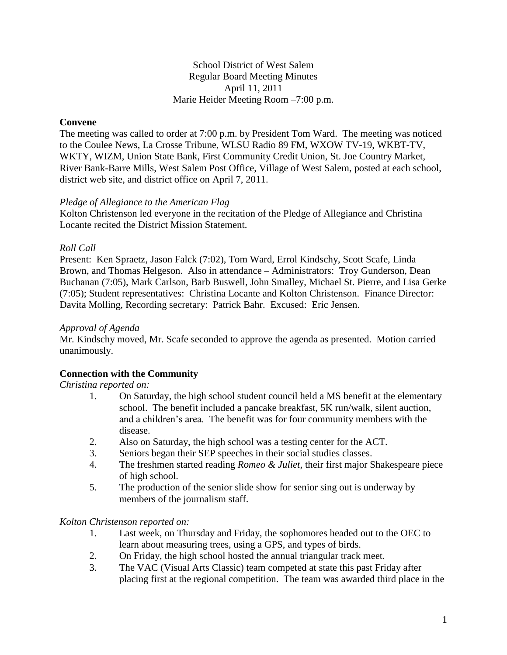School District of West Salem Regular Board Meeting Minutes April 11, 2011 Marie Heider Meeting Room –7:00 p.m.

# **Convene**

The meeting was called to order at 7:00 p.m. by President Tom Ward. The meeting was noticed to the Coulee News, La Crosse Tribune, WLSU Radio 89 FM, WXOW TV-19, WKBT-TV, WKTY, WIZM, Union State Bank, First Community Credit Union, St. Joe Country Market, River Bank-Barre Mills, West Salem Post Office, Village of West Salem, posted at each school, district web site, and district office on April 7, 2011.

### *Pledge of Allegiance to the American Flag*

Kolton Christenson led everyone in the recitation of the Pledge of Allegiance and Christina Locante recited the District Mission Statement.

### *Roll Call*

Present: Ken Spraetz, Jason Falck (7:02), Tom Ward, Errol Kindschy, Scott Scafe, Linda Brown, and Thomas Helgeson. Also in attendance – Administrators: Troy Gunderson, Dean Buchanan (7:05), Mark Carlson, Barb Buswell, John Smalley, Michael St. Pierre, and Lisa Gerke (7:05); Student representatives: Christina Locante and Kolton Christenson. Finance Director: Davita Molling, Recording secretary: Patrick Bahr. Excused: Eric Jensen.

### *Approval of Agenda*

Mr. Kindschy moved, Mr. Scafe seconded to approve the agenda as presented. Motion carried unanimously.

# **Connection with the Community**

*Christina reported on:*

- 1. On Saturday, the high school student council held a MS benefit at the elementary school. The benefit included a pancake breakfast, 5K run/walk, silent auction, and a children's area. The benefit was for four community members with the disease.
- 2. Also on Saturday, the high school was a testing center for the ACT.
- 3. Seniors began their SEP speeches in their social studies classes.
- 4. The freshmen started reading *Romeo & Juliet*, their first major Shakespeare piece of high school.
- 5. The production of the senior slide show for senior sing out is underway by members of the journalism staff.

### *Kolton Christenson reported on:*

- 1. Last week, on Thursday and Friday, the sophomores headed out to the OEC to learn about measuring trees, using a GPS, and types of birds.
- 2. On Friday, the high school hosted the annual triangular track meet.
- 3. The VAC (Visual Arts Classic) team competed at state this past Friday after placing first at the regional competition. The team was awarded third place in the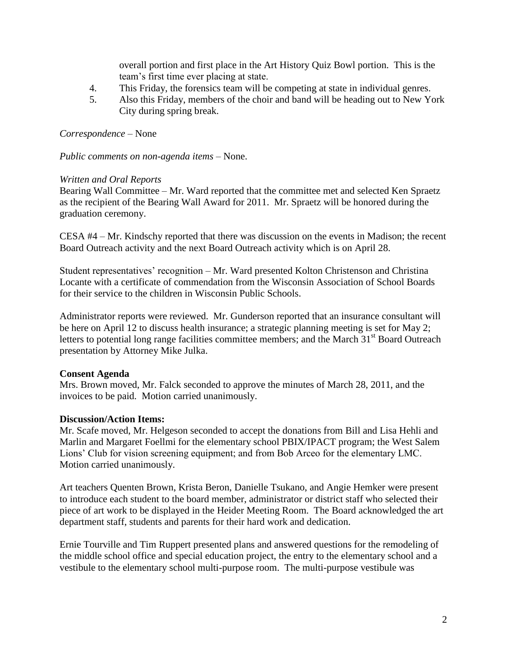overall portion and first place in the Art History Quiz Bowl portion. This is the team's first time ever placing at state.

- 4. This Friday, the forensics team will be competing at state in individual genres.
- 5. Also this Friday, members of the choir and band will be heading out to New York City during spring break.

# *Correspondence –* None

*Public comments on non-agenda items –* None.

# *Written and Oral Reports*

Bearing Wall Committee – Mr. Ward reported that the committee met and selected Ken Spraetz as the recipient of the Bearing Wall Award for 2011. Mr. Spraetz will be honored during the graduation ceremony.

CESA #4 – Mr. Kindschy reported that there was discussion on the events in Madison; the recent Board Outreach activity and the next Board Outreach activity which is on April 28.

Student representatives' recognition – Mr. Ward presented Kolton Christenson and Christina Locante with a certificate of commendation from the Wisconsin Association of School Boards for their service to the children in Wisconsin Public Schools.

Administrator reports were reviewed. Mr. Gunderson reported that an insurance consultant will be here on April 12 to discuss health insurance; a strategic planning meeting is set for May 2; letters to potential long range facilities committee members; and the March  $31<sup>st</sup>$  Board Outreach presentation by Attorney Mike Julka.

# **Consent Agenda**

Mrs. Brown moved, Mr. Falck seconded to approve the minutes of March 28, 2011, and the invoices to be paid. Motion carried unanimously.

# **Discussion/Action Items:**

Mr. Scafe moved, Mr. Helgeson seconded to accept the donations from Bill and Lisa Hehli and Marlin and Margaret Foellmi for the elementary school PBIX/IPACT program; the West Salem Lions' Club for vision screening equipment; and from Bob Arceo for the elementary LMC. Motion carried unanimously.

Art teachers Quenten Brown, Krista Beron, Danielle Tsukano, and Angie Hemker were present to introduce each student to the board member, administrator or district staff who selected their piece of art work to be displayed in the Heider Meeting Room. The Board acknowledged the art department staff, students and parents for their hard work and dedication.

Ernie Tourville and Tim Ruppert presented plans and answered questions for the remodeling of the middle school office and special education project, the entry to the elementary school and a vestibule to the elementary school multi-purpose room. The multi-purpose vestibule was